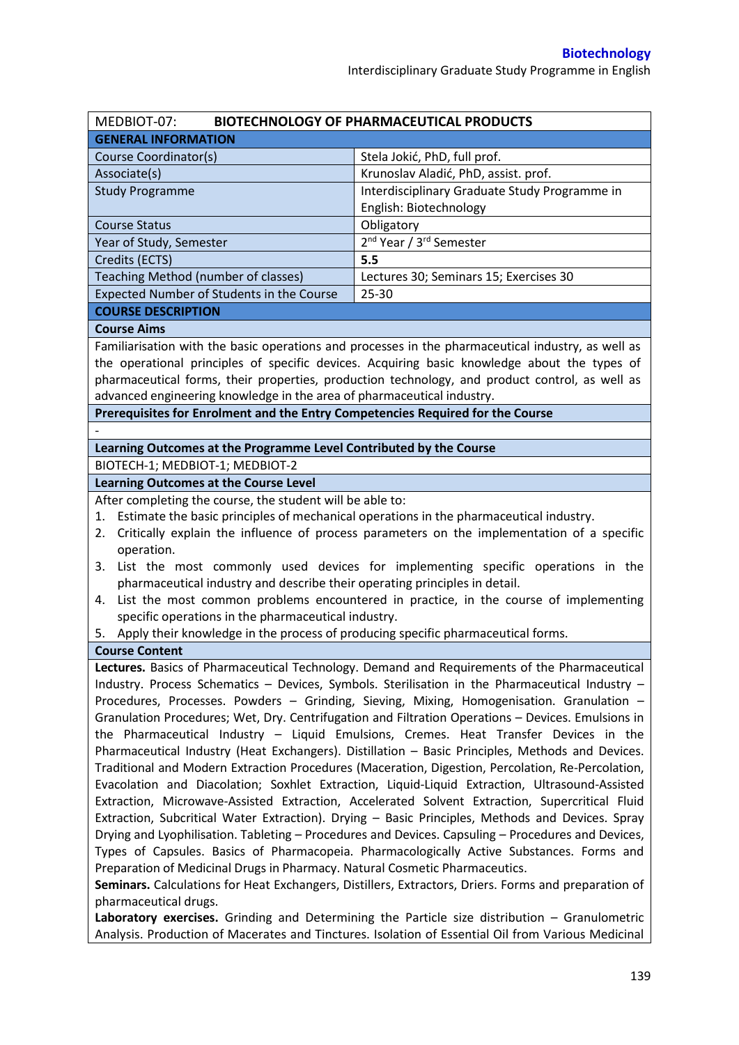| MEDBIOT-07:                                                                                          | <b>BIOTECHNOLOGY OF PHARMACEUTICAL PRODUCTS</b>                                                    |  |  |  |  |
|------------------------------------------------------------------------------------------------------|----------------------------------------------------------------------------------------------------|--|--|--|--|
| <b>GENERAL INFORMATION</b>                                                                           |                                                                                                    |  |  |  |  |
| Course Coordinator(s)                                                                                | Stela Jokić, PhD, full prof.                                                                       |  |  |  |  |
| Associate(s)                                                                                         | Krunoslav Aladić, PhD, assist. prof.                                                               |  |  |  |  |
| <b>Study Programme</b>                                                                               | Interdisciplinary Graduate Study Programme in                                                      |  |  |  |  |
|                                                                                                      | English: Biotechnology                                                                             |  |  |  |  |
| <b>Course Status</b>                                                                                 | Obligatory                                                                                         |  |  |  |  |
| Year of Study, Semester                                                                              | 2 <sup>nd</sup> Year / 3 <sup>rd</sup> Semester                                                    |  |  |  |  |
| Credits (ECTS)                                                                                       | 5.5                                                                                                |  |  |  |  |
| Teaching Method (number of classes)                                                                  | Lectures 30; Seminars 15; Exercises 30                                                             |  |  |  |  |
| Expected Number of Students in the Course                                                            | 25-30                                                                                              |  |  |  |  |
| <b>COURSE DESCRIPTION</b>                                                                            |                                                                                                    |  |  |  |  |
| <b>Course Aims</b>                                                                                   |                                                                                                    |  |  |  |  |
|                                                                                                      | Familiarisation with the basic operations and processes in the pharmaceutical industry, as well as |  |  |  |  |
|                                                                                                      | the operational principles of specific devices. Acquiring basic knowledge about the types of       |  |  |  |  |
|                                                                                                      | pharmaceutical forms, their properties, production technology, and product control, as well as     |  |  |  |  |
| advanced engineering knowledge in the area of pharmaceutical industry.                               |                                                                                                    |  |  |  |  |
| Prerequisites for Enrolment and the Entry Competencies Required for the Course                       |                                                                                                    |  |  |  |  |
|                                                                                                      |                                                                                                    |  |  |  |  |
| Learning Outcomes at the Programme Level Contributed by the Course                                   |                                                                                                    |  |  |  |  |
|                                                                                                      |                                                                                                    |  |  |  |  |
| BIOTECH-1; MEDBIOT-1; MEDBIOT-2                                                                      |                                                                                                    |  |  |  |  |
| <b>Learning Outcomes at the Course Level</b>                                                         |                                                                                                    |  |  |  |  |
| After completing the course, the student will be able to:                                            |                                                                                                    |  |  |  |  |
| Estimate the basic principles of mechanical operations in the pharmaceutical industry.<br>1.         |                                                                                                    |  |  |  |  |
| 2.                                                                                                   | Critically explain the influence of process parameters on the implementation of a specific         |  |  |  |  |
| operation.                                                                                           |                                                                                                    |  |  |  |  |
|                                                                                                      | 3. List the most commonly used devices for implementing specific operations in the                 |  |  |  |  |
| pharmaceutical industry and describe their operating principles in detail.                           |                                                                                                    |  |  |  |  |
|                                                                                                      | 4. List the most common problems encountered in practice, in the course of implementing            |  |  |  |  |
| specific operations in the pharmaceutical industry.                                                  |                                                                                                    |  |  |  |  |
| 5. Apply their knowledge in the process of producing specific pharmaceutical forms.                  |                                                                                                    |  |  |  |  |
| <b>Course Content</b>                                                                                |                                                                                                    |  |  |  |  |
|                                                                                                      | Lectures. Basics of Pharmaceutical Technology. Demand and Requirements of the Pharmaceutical       |  |  |  |  |
| Industry. Process Schematics - Devices, Symbols. Sterilisation in the Pharmaceutical Industry -      |                                                                                                    |  |  |  |  |
| Procedures, Processes. Powders - Grinding, Sieving, Mixing, Homogenisation. Granulation -            |                                                                                                    |  |  |  |  |
| Granulation Procedures; Wet, Dry. Centrifugation and Filtration Operations - Devices. Emulsions in   |                                                                                                    |  |  |  |  |
| the Pharmaceutical Industry - Liquid Emulsions, Cremes. Heat Transfer Devices in the                 |                                                                                                    |  |  |  |  |
| Pharmaceutical Industry (Heat Exchangers). Distillation - Basic Principles, Methods and Devices.     |                                                                                                    |  |  |  |  |
| Traditional and Modern Extraction Procedures (Maceration, Digestion, Percolation, Re-Percolation,    |                                                                                                    |  |  |  |  |
| Evacolation and Diacolation; Soxhlet Extraction, Liquid-Liquid Extraction, Ultrasound-Assisted       |                                                                                                    |  |  |  |  |
| Extraction, Microwave-Assisted Extraction, Accelerated Solvent Extraction, Supercritical Fluid       |                                                                                                    |  |  |  |  |
| Extraction, Subcritical Water Extraction). Drying - Basic Principles, Methods and Devices. Spray     |                                                                                                    |  |  |  |  |
| Drying and Lyophilisation. Tableting - Procedures and Devices. Capsuling - Procedures and Devices,   |                                                                                                    |  |  |  |  |
| Types of Capsules. Basics of Pharmacopeia. Pharmacologically Active Substances. Forms and            |                                                                                                    |  |  |  |  |
| Preparation of Medicinal Drugs in Pharmacy. Natural Cosmetic Pharmaceutics.                          |                                                                                                    |  |  |  |  |
| Seminars. Calculations for Heat Exchangers, Distillers, Extractors, Driers. Forms and preparation of |                                                                                                    |  |  |  |  |
| pharmaceutical drugs.                                                                                |                                                                                                    |  |  |  |  |
| Laboratory exercises. Grinding and Determining the Particle size distribution - Granulometric        |                                                                                                    |  |  |  |  |
| Analysis. Production of Macerates and Tinctures. Isolation of Essential Oil from Various Medicinal   |                                                                                                    |  |  |  |  |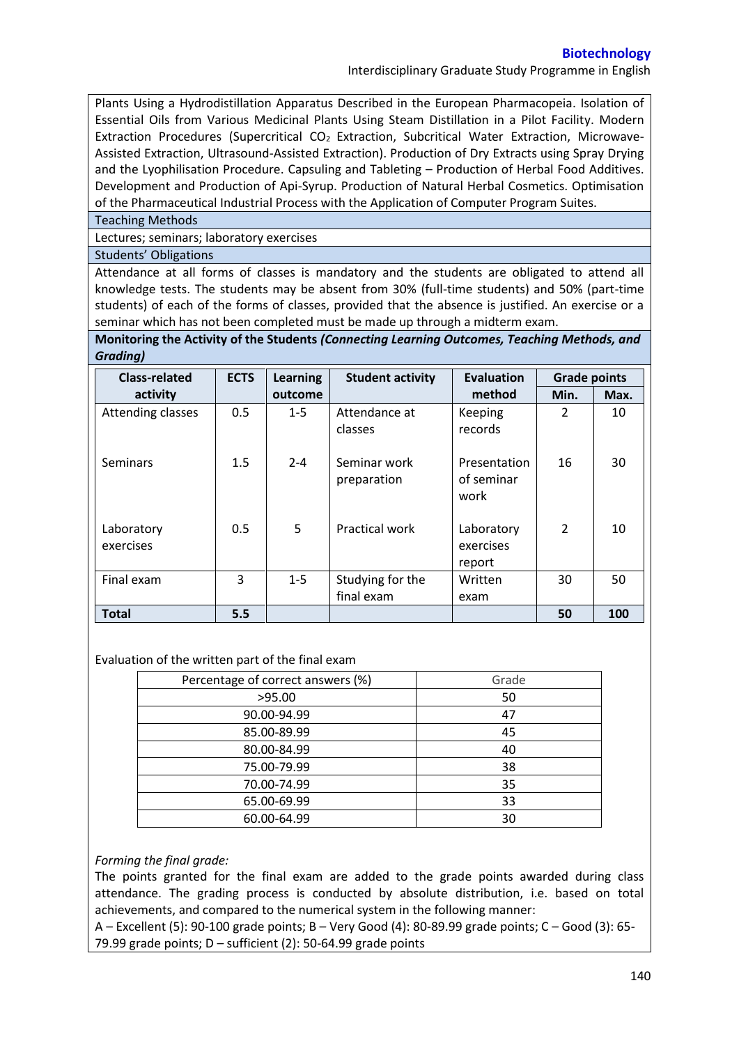Interdisciplinary Graduate Study Programme in English

Plants Using a Hydrodistillation Apparatus Described in the European Pharmacopeia. Isolation of Essential Oils from Various Medicinal Plants Using Steam Distillation in a Pilot Facility. Modern Extraction Procedures (Supercritical CO<sub>2</sub> Extraction, Subcritical Water Extraction, Microwave-Assisted Extraction, Ultrasound-Assisted Extraction). Production of Dry Extracts using Spray Drying and the Lyophilisation Procedure. Capsuling and Tableting – Production of Herbal Food Additives. Development and Production of Api-Syrup. Production of Natural Herbal Cosmetics. Optimisation of the Pharmaceutical Industrial Process with the Application of Computer Program Suites.

Teaching Methods

Lectures; seminars; laboratory exercises

Students' Obligations

Attendance at all forms of classes is mandatory and the students are obligated to attend all knowledge tests. The students may be absent from 30% (full-time students) and 50% (part-time students) of each of the forms of classes, provided that the absence is justified. An exercise or a seminar which has not been completed must be made up through a midterm exam.

**Monitoring the Activity of the Students** *(Connecting Learning Outcomes, Teaching Methods, and Grading)*

| <b>Class-related</b>    | <b>ECTS</b> | Learning | <b>Student activity</b>        | <b>Evaluation</b>                  | <b>Grade points</b> |      |
|-------------------------|-------------|----------|--------------------------------|------------------------------------|---------------------|------|
| activity                |             | outcome  |                                | method                             | Min.                | Max. |
| Attending classes       | 0.5         | $1 - 5$  | Attendance at<br>classes       | Keeping<br>records                 | 2                   | 10   |
| Seminars                | 1.5         | $2 - 4$  | Seminar work<br>preparation    | Presentation<br>of seminar<br>work | 16                  | 30   |
| Laboratory<br>exercises | 0.5         | 5        | <b>Practical work</b>          | Laboratory<br>exercises<br>report  | 2                   | 10   |
| Final exam              | 3           | $1 - 5$  | Studying for the<br>final exam | Written<br>exam                    | 30                  | 50   |
| <b>Total</b>            | 5.5         |          |                                |                                    | 50                  | 100  |

## Evaluation of the written part of the final exam

| Percentage of correct answers (%) | Grade |
|-----------------------------------|-------|
| >95.00                            | 50    |
| 90.00-94.99                       | 47    |
| 85.00-89.99                       | 45    |
| 80.00-84.99                       | 40    |
| 75.00-79.99                       | 38    |
| 70.00-74.99                       | 35    |
| 65.00-69.99                       | 33    |
| 60.00-64.99                       | 30    |

## *Forming the final grade:*

The points granted for the final exam are added to the grade points awarded during class attendance. The grading process is conducted by absolute distribution, i.e. based on total achievements, and compared to the numerical system in the following manner:

A – Excellent (5): 90-100 grade points; B – Very Good (4): 80-89.99 grade points; C – Good (3): 65- 79.99 grade points;  $D$  – sufficient (2): 50-64.99 grade points